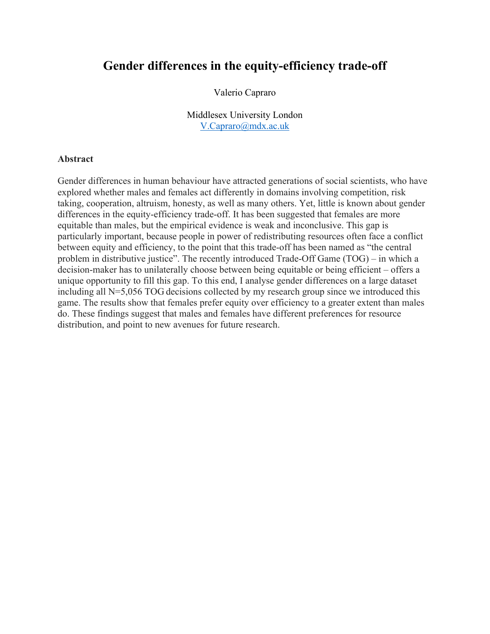# **Gender differences in the equity-efficiency trade-off**

Valerio Capraro

Middlesex University London V.Capraro@mdx.ac.uk

#### **Abstract**

Gender differences in human behaviour have attracted generations of social scientists, who have explored whether males and females act differently in domains involving competition, risk taking, cooperation, altruism, honesty, as well as many others. Yet, little is known about gender differences in the equity-efficiency trade-off. It has been suggested that females are more equitable than males, but the empirical evidence is weak and inconclusive. This gap is particularly important, because people in power of redistributing resources often face a conflict between equity and efficiency, to the point that this trade-off has been named as "the central problem in distributive justice". The recently introduced Trade-Off Game (TOG) – in which a decision-maker has to unilaterally choose between being equitable or being efficient – offers a unique opportunity to fill this gap. To this end, I analyse gender differences on a large dataset including all N=5,056 TOG decisions collected by my research group since we introduced this game. The results show that females prefer equity over efficiency to a greater extent than males do. These findings suggest that males and females have different preferences for resource distribution, and point to new avenues for future research.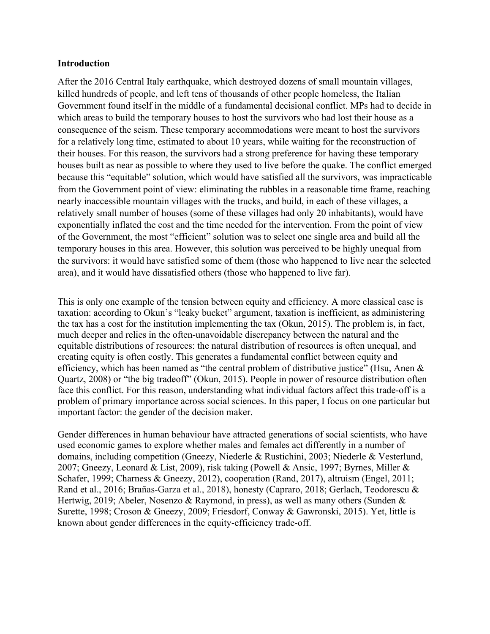#### **Introduction**

After the 2016 Central Italy earthquake, which destroyed dozens of small mountain villages, killed hundreds of people, and left tens of thousands of other people homeless, the Italian Government found itself in the middle of a fundamental decisional conflict. MPs had to decide in which areas to build the temporary houses to host the survivors who had lost their house as a consequence of the seism. These temporary accommodations were meant to host the survivors for a relatively long time, estimated to about 10 years, while waiting for the reconstruction of their houses. For this reason, the survivors had a strong preference for having these temporary houses built as near as possible to where they used to live before the quake. The conflict emerged because this "equitable" solution, which would have satisfied all the survivors, was impracticable from the Government point of view: eliminating the rubbles in a reasonable time frame, reaching nearly inaccessible mountain villages with the trucks, and build, in each of these villages, a relatively small number of houses (some of these villages had only 20 inhabitants), would have exponentially inflated the cost and the time needed for the intervention. From the point of view of the Government, the most "efficient" solution was to select one single area and build all the temporary houses in this area. However, this solution was perceived to be highly unequal from the survivors: it would have satisfied some of them (those who happened to live near the selected area), and it would have dissatisfied others (those who happened to live far).

This is only one example of the tension between equity and efficiency. A more classical case is taxation: according to Okun's "leaky bucket" argument, taxation is inefficient, as administering the tax has a cost for the institution implementing the tax (Okun, 2015). The problem is, in fact, much deeper and relies in the often-unavoidable discrepancy between the natural and the equitable distributions of resources: the natural distribution of resources is often unequal, and creating equity is often costly. This generates a fundamental conflict between equity and efficiency, which has been named as "the central problem of distributive justice" (Hsu, Anen & Quartz, 2008) or "the big tradeoff" (Okun, 2015). People in power of resource distribution often face this conflict. For this reason, understanding what individual factors affect this trade-off is a problem of primary importance across social sciences. In this paper, I focus on one particular but important factor: the gender of the decision maker.

Gender differences in human behaviour have attracted generations of social scientists, who have used economic games to explore whether males and females act differently in a number of domains, including competition (Gneezy, Niederle & Rustichini, 2003; Niederle & Vesterlund, 2007; Gneezy, Leonard & List, 2009), risk taking (Powell & Ansic, 1997; Byrnes, Miller & Schafer, 1999; Charness & Gneezy, 2012), cooperation (Rand, 2017), altruism (Engel, 2011; Rand et al., 2016; Brañas-Garza et al., 2018), honesty (Capraro, 2018; Gerlach, Teodorescu & Hertwig, 2019; Abeler, Nosenzo & Raymond, in press), as well as many others (Sunden & Surette, 1998; Croson & Gneezy, 2009; Friesdorf, Conway & Gawronski, 2015). Yet, little is known about gender differences in the equity-efficiency trade-off.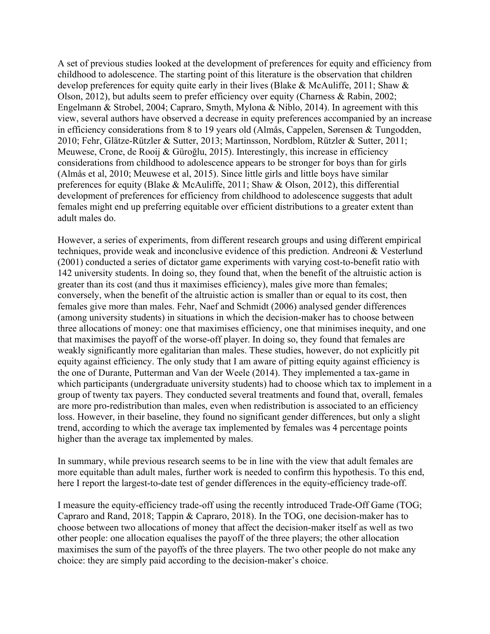A set of previous studies looked at the development of preferences for equity and efficiency from childhood to adolescence. The starting point of this literature is the observation that children develop preferences for equity quite early in their lives (Blake & McAuliffe, 2011; Shaw & Olson, 2012), but adults seem to prefer efficiency over equity (Charness & Rabin, 2002; Engelmann & Strobel, 2004; Capraro, Smyth, Mylona & Niblo, 2014). In agreement with this view, several authors have observed a decrease in equity preferences accompanied by an increase in efficiency considerations from 8 to 19 years old (Almås, Cappelen, Sørensen & Tungodden, 2010; Fehr, Glätze-Rützler & Sutter, 2013; Martinsson, Nordblom, Rützler & Sutter, 2011; Meuwese, Crone, de Rooij & Güroğlu, 2015). Interestingly, this increase in efficiency considerations from childhood to adolescence appears to be stronger for boys than for girls (Almås et al, 2010; Meuwese et al, 2015). Since little girls and little boys have similar preferences for equity (Blake & McAuliffe, 2011; Shaw & Olson, 2012), this differential development of preferences for efficiency from childhood to adolescence suggests that adult females might end up preferring equitable over efficient distributions to a greater extent than adult males do.

However, a series of experiments, from different research groups and using different empirical techniques, provide weak and inconclusive evidence of this prediction. Andreoni & Vesterlund (2001) conducted a series of dictator game experiments with varying cost-to-benefit ratio with 142 university students. In doing so, they found that, when the benefit of the altruistic action is greater than its cost (and thus it maximises efficiency), males give more than females; conversely, when the benefit of the altruistic action is smaller than or equal to its cost, then females give more than males. Fehr, Naef and Schmidt (2006) analysed gender differences (among university students) in situations in which the decision-maker has to choose between three allocations of money: one that maximises efficiency, one that minimises inequity, and one that maximises the payoff of the worse-off player. In doing so, they found that females are weakly significantly more egalitarian than males. These studies, however, do not explicitly pit equity against efficiency. The only study that I am aware of pitting equity against efficiency is the one of Durante, Putterman and Van der Weele (2014). They implemented a tax-game in which participants (undergraduate university students) had to choose which tax to implement in a group of twenty tax payers. They conducted several treatments and found that, overall, females are more pro-redistribution than males, even when redistribution is associated to an efficiency loss. However, in their baseline, they found no significant gender differences, but only a slight trend, according to which the average tax implemented by females was 4 percentage points higher than the average tax implemented by males.

In summary, while previous research seems to be in line with the view that adult females are more equitable than adult males, further work is needed to confirm this hypothesis. To this end, here I report the largest-to-date test of gender differences in the equity-efficiency trade-off.

I measure the equity-efficiency trade-off using the recently introduced Trade-Off Game (TOG; Capraro and Rand, 2018; Tappin & Capraro, 2018). In the TOG, one decision-maker has to choose between two allocations of money that affect the decision-maker itself as well as two other people: one allocation equalises the payoff of the three players; the other allocation maximises the sum of the payoffs of the three players. The two other people do not make any choice: they are simply paid according to the decision-maker's choice.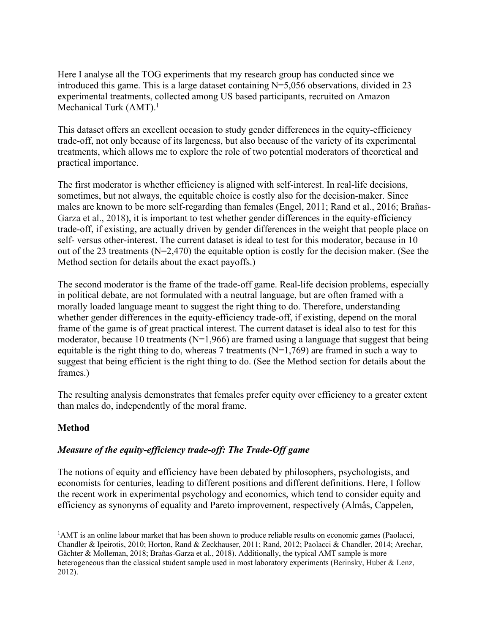Here I analyse all the TOG experiments that my research group has conducted since we introduced this game. This is a large dataset containing  $N=5,056$  observations, divided in 23 experimental treatments, collected among US based participants, recruited on Amazon Mechanical Turk  $(AMT)$ .<sup>1</sup>

This dataset offers an excellent occasion to study gender differences in the equity-efficiency trade-off, not only because of its largeness, but also because of the variety of its experimental treatments, which allows me to explore the role of two potential moderators of theoretical and practical importance.

The first moderator is whether efficiency is aligned with self-interest. In real-life decisions, sometimes, but not always, the equitable choice is costly also for the decision-maker. Since males are known to be more self-regarding than females (Engel, 2011; Rand et al., 2016; Brañas-Garza et al., 2018), it is important to test whether gender differences in the equity-efficiency trade-off, if existing, are actually driven by gender differences in the weight that people place on self- versus other-interest. The current dataset is ideal to test for this moderator, because in 10 out of the 23 treatments (N=2,470) the equitable option is costly for the decision maker. (See the Method section for details about the exact payoffs.)

The second moderator is the frame of the trade-off game. Real-life decision problems, especially in political debate, are not formulated with a neutral language, but are often framed with a morally loaded language meant to suggest the right thing to do. Therefore, understanding whether gender differences in the equity-efficiency trade-off, if existing, depend on the moral frame of the game is of great practical interest. The current dataset is ideal also to test for this moderator, because 10 treatments ( $N=1,966$ ) are framed using a language that suggest that being equitable is the right thing to do, whereas 7 treatments ( $N=1,769$ ) are framed in such a way to suggest that being efficient is the right thing to do. (See the Method section for details about the frames.)

The resulting analysis demonstrates that females prefer equity over efficiency to a greater extent than males do, independently of the moral frame.

## **Method**

## *Measure of the equity-efficiency trade-off: The Trade-Off game*

The notions of equity and efficiency have been debated by philosophers, psychologists, and economists for centuries, leading to different positions and different definitions. Here, I follow the recent work in experimental psychology and economics, which tend to consider equity and efficiency as synonyms of equality and Pareto improvement, respectively (Almås, Cappelen,

 $\frac{1}{1}$ <sup>1</sup>AMT is an online labour market that has been shown to produce reliable results on economic games (Paolacci, Chandler & Ipeirotis, 2010; Horton, Rand & Zeckhauser, 2011; Rand, 2012; Paolacci & Chandler, 2014; Arechar, Gächter & Molleman, 2018; Brañas-Garza et al., 2018). Additionally, the typical AMT sample is more heterogeneous than the classical student sample used in most laboratory experiments (Berinsky, Huber & Lenz, 2012).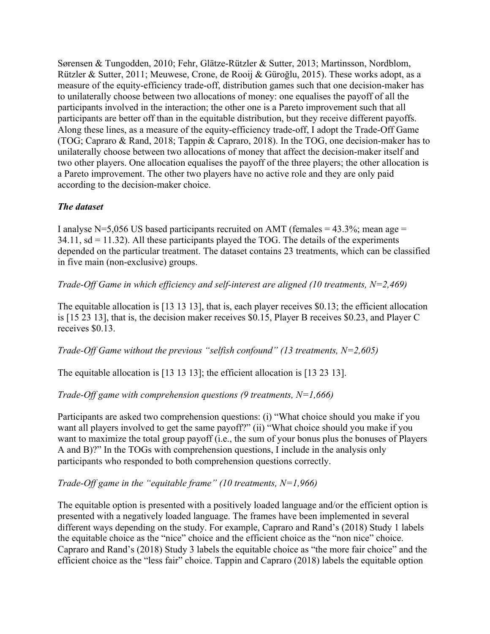Sørensen & Tungodden, 2010; Fehr, Glätze-Rützler & Sutter, 2013; Martinsson, Nordblom, Rützler & Sutter, 2011; Meuwese, Crone, de Rooij & Güroğlu, 2015). These works adopt, as a measure of the equity-efficiency trade-off, distribution games such that one decision-maker has to unilaterally choose between two allocations of money: one equalises the payoff of all the participants involved in the interaction; the other one is a Pareto improvement such that all participants are better off than in the equitable distribution, but they receive different payoffs. Along these lines, as a measure of the equity-efficiency trade-off, I adopt the Trade-Off Game (TOG; Capraro & Rand, 2018; Tappin & Capraro, 2018). In the TOG, one decision-maker has to unilaterally choose between two allocations of money that affect the decision-maker itself and two other players. One allocation equalises the payoff of the three players; the other allocation is a Pareto improvement. The other two players have no active role and they are only paid according to the decision-maker choice.

## *The dataset*

I analyse N=5,056 US based participants recruited on AMT (females =  $43.3\%$ ; mean age =  $34.11$ , sd = 11.32). All these participants played the TOG. The details of the experiments depended on the particular treatment. The dataset contains 23 treatments, which can be classified in five main (non-exclusive) groups.

#### *Trade-Off Game in which efficiency and self-interest are aligned (10 treatments, N=2,469)*

The equitable allocation is [13 13 13], that is, each player receives \$0.13; the efficient allocation is [15 23 13], that is, the decision maker receives \$0.15, Player B receives \$0.23, and Player C receives \$0.13.

*Trade-Off Game without the previous "selfish confound" (13 treatments, N=2,605)*

The equitable allocation is [13 13 13]; the efficient allocation is [13 23 13].

## *Trade-Off game with comprehension questions (9 treatments, N=1,666)*

Participants are asked two comprehension questions: (i) "What choice should you make if you want all players involved to get the same payoff?" (ii) "What choice should you make if you want to maximize the total group payoff (i.e., the sum of your bonus plus the bonuses of Players A and B)?" In the TOGs with comprehension questions, I include in the analysis only participants who responded to both comprehension questions correctly.

## *Trade-Off game in the "equitable frame" (10 treatments, N=1,966)*

The equitable option is presented with a positively loaded language and/or the efficient option is presented with a negatively loaded language. The frames have been implemented in several different ways depending on the study. For example, Capraro and Rand's (2018) Study 1 labels the equitable choice as the "nice" choice and the efficient choice as the "non nice" choice. Capraro and Rand's (2018) Study 3 labels the equitable choice as "the more fair choice" and the efficient choice as the "less fair" choice. Tappin and Capraro (2018) labels the equitable option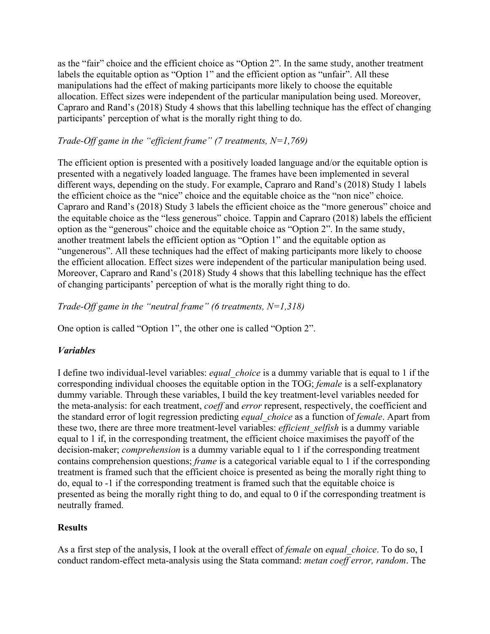as the "fair" choice and the efficient choice as "Option 2". In the same study, another treatment labels the equitable option as "Option 1" and the efficient option as "unfair". All these manipulations had the effect of making participants more likely to choose the equitable allocation. Effect sizes were independent of the particular manipulation being used. Moreover, Capraro and Rand's (2018) Study 4 shows that this labelling technique has the effect of changing participants' perception of what is the morally right thing to do.

## *Trade-Off game in the "efficient frame" (7 treatments, N=1,769)*

The efficient option is presented with a positively loaded language and/or the equitable option is presented with a negatively loaded language. The frames have been implemented in several different ways, depending on the study. For example, Capraro and Rand's (2018) Study 1 labels the efficient choice as the "nice" choice and the equitable choice as the "non nice" choice. Capraro and Rand's (2018) Study 3 labels the efficient choice as the "more generous" choice and the equitable choice as the "less generous" choice. Tappin and Capraro (2018) labels the efficient option as the "generous" choice and the equitable choice as "Option 2". In the same study, another treatment labels the efficient option as "Option 1" and the equitable option as "ungenerous". All these techniques had the effect of making participants more likely to choose the efficient allocation. Effect sizes were independent of the particular manipulation being used. Moreover, Capraro and Rand's (2018) Study 4 shows that this labelling technique has the effect of changing participants' perception of what is the morally right thing to do.

*Trade-Off game in the "neutral frame" (6 treatments, N=1,318)*

One option is called "Option 1", the other one is called "Option 2".

# *Variables*

I define two individual-level variables: *equal\_choice* is a dummy variable that is equal to 1 if the corresponding individual chooses the equitable option in the TOG; *female* is a self-explanatory dummy variable. Through these variables, I build the key treatment-level variables needed for the meta-analysis: for each treatment, *coeff* and *error* represent, respectively, the coefficient and the standard error of logit regression predicting *equal\_choice* as a function of *female*. Apart from these two, there are three more treatment-level variables: *efficient\_selfish* is a dummy variable equal to 1 if, in the corresponding treatment, the efficient choice maximises the payoff of the decision-maker; *comprehension* is a dummy variable equal to 1 if the corresponding treatment contains comprehension questions; *frame* is a categorical variable equal to 1 if the corresponding treatment is framed such that the efficient choice is presented as being the morally right thing to do, equal to -1 if the corresponding treatment is framed such that the equitable choice is presented as being the morally right thing to do, and equal to 0 if the corresponding treatment is neutrally framed.

# **Results**

As a first step of the analysis, I look at the overall effect of *female* on *equal\_choice*. To do so, I conduct random-effect meta-analysis using the Stata command: *metan coeff error, random*. The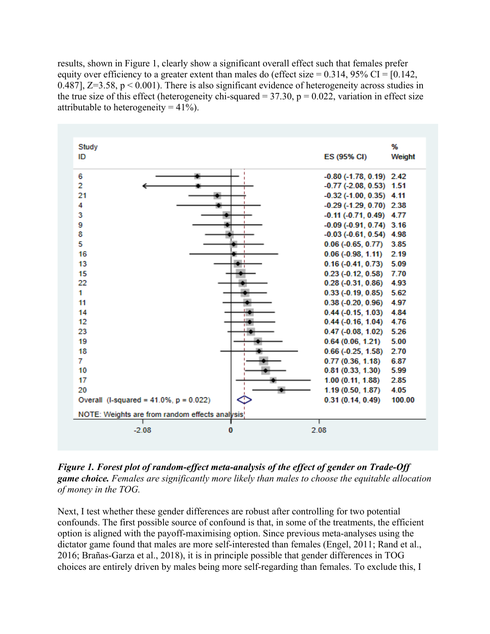results, shown in Figure 1, clearly show a significant overall effect such that females prefer equity over efficiency to a greater extent than males do (effect size  $= 0.314$ , 95% CI = [0.142, 0.487],  $Z=3.58$ ,  $p < 0.001$ ). There is also significant evidence of heterogeneity across studies in the true size of this effect (heterogeneity chi-squared =  $37.30$ ,  $p = 0.022$ , variation in effect size attributable to heterogeneity =  $41\%$ ).



*Figure 1. Forest plot of random-effect meta-analysis of the effect of gender on Trade-Off game choice. Females are significantly more likely than males to choose the equitable allocation of money in the TOG.* 

Next, I test whether these gender differences are robust after controlling for two potential confounds. The first possible source of confound is that, in some of the treatments, the efficient option is aligned with the payoff-maximising option. Since previous meta-analyses using the dictator game found that males are more self-interested than females (Engel, 2011; Rand et al., 2016; Brañas-Garza et al., 2018), it is in principle possible that gender differences in TOG choices are entirely driven by males being more self-regarding than females. To exclude this, I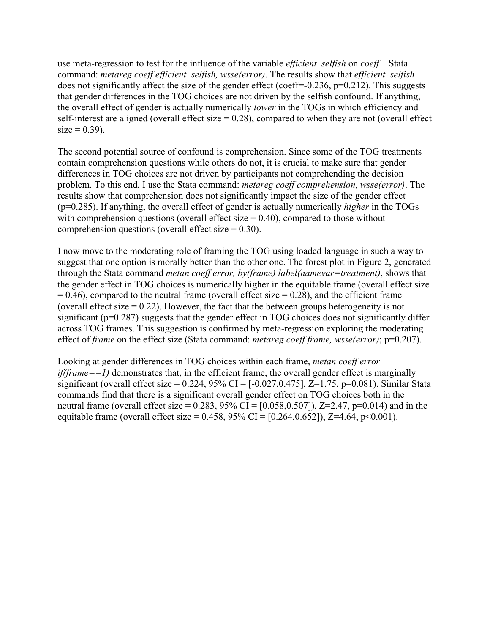use meta-regression to test for the influence of the variable *efficient\_selfish* on *coeff* – Stata command: *metareg coeff efficient\_selfish, wsse(error)*. The results show that *efficient\_selfish* does not significantly affect the size of the gender effect (coeff= $-0.236$ , p= $0.212$ ). This suggests that gender differences in the TOG choices are not driven by the selfish confound. If anything, the overall effect of gender is actually numerically *lower* in the TOGs in which efficiency and self-interest are aligned (overall effect size  $= 0.28$ ), compared to when they are not (overall effect  $size = 0.39$ ).

The second potential source of confound is comprehension. Since some of the TOG treatments contain comprehension questions while others do not, it is crucial to make sure that gender differences in TOG choices are not driven by participants not comprehending the decision problem. To this end, I use the Stata command: *metareg coeff comprehension, wsse(error)*. The results show that comprehension does not significantly impact the size of the gender effect (p=0.285). If anything, the overall effect of gender is actually numerically *higher* in the TOGs with comprehension questions (overall effect size  $= 0.40$ ), compared to those without comprehension questions (overall effect size  $= 0.30$ ).

I now move to the moderating role of framing the TOG using loaded language in such a way to suggest that one option is morally better than the other one. The forest plot in Figure 2, generated through the Stata command *metan coeff error, by(frame) label(namevar=treatment)*, shows that the gender effect in TOG choices is numerically higher in the equitable frame (overall effect size  $= 0.46$ ), compared to the neutral frame (overall effect size  $= 0.28$ ), and the efficient frame (overall effect size  $= 0.22$ ). However, the fact that the between groups heterogeneity is not significant (p=0.287) suggests that the gender effect in TOG choices does not significantly differ across TOG frames. This suggestion is confirmed by meta-regression exploring the moderating effect of *frame* on the effect size (Stata command: *metareg coeff frame, wsse(error)*; p=0.207).

Looking at gender differences in TOG choices within each frame, *metan coeff error if(frame==1)* demonstrates that, in the efficient frame, the overall gender effect is marginally significant (overall effect size =  $0.224$ , 95% CI =  $[-0.027, 0.475]$ ,  $Z=1.75$ , p= $0.081$ ). Similar Stata commands find that there is a significant overall gender effect on TOG choices both in the neutral frame (overall effect size =  $0.283$ ,  $95\%$  CI =  $[0.058, 0.507]$ ), Z=2.47, p=0.014) and in the equitable frame (overall effect size =  $0.458$ ,  $95\%$  CI = [ $0.264$ , $0.652$ ]), Z=4.64, p<0.001).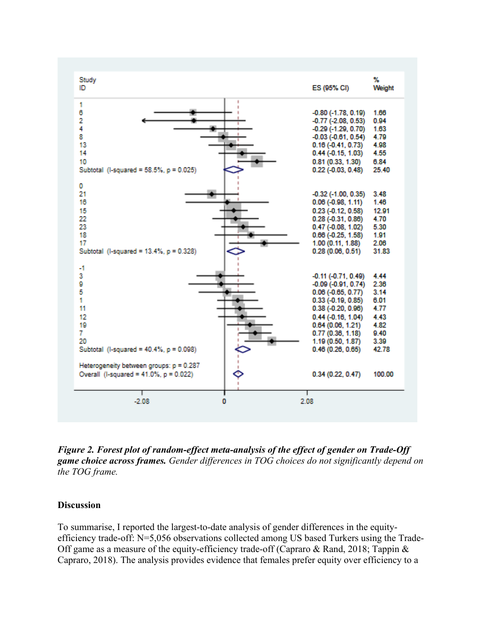

*Figure 2. Forest plot of random-effect meta-analysis of the effect of gender on Trade-Off game choice across frames. Gender differences in TOG choices do not significantly depend on the TOG frame.* 

#### **Discussion**

To summarise, I reported the largest-to-date analysis of gender differences in the equityefficiency trade-off:  $N=5,056$  observations collected among US based Turkers using the Trade-Off game as a measure of the equity-efficiency trade-off (Capraro & Rand, 2018; Tappin & Capraro, 2018). The analysis provides evidence that females prefer equity over efficiency to a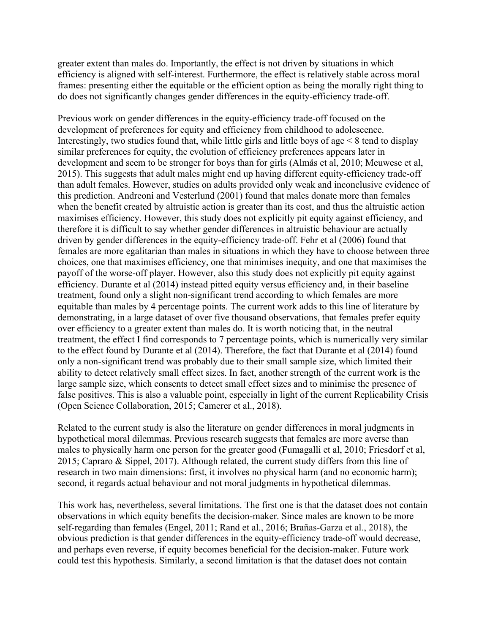greater extent than males do. Importantly, the effect is not driven by situations in which efficiency is aligned with self-interest. Furthermore, the effect is relatively stable across moral frames: presenting either the equitable or the efficient option as being the morally right thing to do does not significantly changes gender differences in the equity-efficiency trade-off.

Previous work on gender differences in the equity-efficiency trade-off focused on the development of preferences for equity and efficiency from childhood to adolescence. Interestingly, two studies found that, while little girls and little boys of age  $\leq 8$  tend to display similar preferences for equity, the evolution of efficiency preferences appears later in development and seem to be stronger for boys than for girls (Almås et al, 2010; Meuwese et al, 2015). This suggests that adult males might end up having different equity-efficiency trade-off than adult females. However, studies on adults provided only weak and inconclusive evidence of this prediction. Andreoni and Vesterlund (2001) found that males donate more than females when the benefit created by altruistic action is greater than its cost, and thus the altruistic action maximises efficiency. However, this study does not explicitly pit equity against efficiency, and therefore it is difficult to say whether gender differences in altruistic behaviour are actually driven by gender differences in the equity-efficiency trade-off. Fehr et al (2006) found that females are more egalitarian than males in situations in which they have to choose between three choices, one that maximises efficiency, one that minimises inequity, and one that maximises the payoff of the worse-off player. However, also this study does not explicitly pit equity against efficiency. Durante et al (2014) instead pitted equity versus efficiency and, in their baseline treatment, found only a slight non-significant trend according to which females are more equitable than males by 4 percentage points. The current work adds to this line of literature by demonstrating, in a large dataset of over five thousand observations, that females prefer equity over efficiency to a greater extent than males do. It is worth noticing that, in the neutral treatment, the effect I find corresponds to 7 percentage points, which is numerically very similar to the effect found by Durante et al (2014). Therefore, the fact that Durante et al (2014) found only a non-significant trend was probably due to their small sample size, which limited their ability to detect relatively small effect sizes. In fact, another strength of the current work is the large sample size, which consents to detect small effect sizes and to minimise the presence of false positives. This is also a valuable point, especially in light of the current Replicability Crisis (Open Science Collaboration, 2015; Camerer et al., 2018).

Related to the current study is also the literature on gender differences in moral judgments in hypothetical moral dilemmas. Previous research suggests that females are more averse than males to physically harm one person for the greater good (Fumagalli et al, 2010; Friesdorf et al, 2015; Capraro & Sippel, 2017). Although related, the current study differs from this line of research in two main dimensions: first, it involves no physical harm (and no economic harm); second, it regards actual behaviour and not moral judgments in hypothetical dilemmas.

This work has, nevertheless, several limitations. The first one is that the dataset does not contain observations in which equity benefits the decision-maker. Since males are known to be more self-regarding than females (Engel, 2011; Rand et al., 2016; Brañas-Garza et al., 2018), the obvious prediction is that gender differences in the equity-efficiency trade-off would decrease, and perhaps even reverse, if equity becomes beneficial for the decision-maker. Future work could test this hypothesis. Similarly, a second limitation is that the dataset does not contain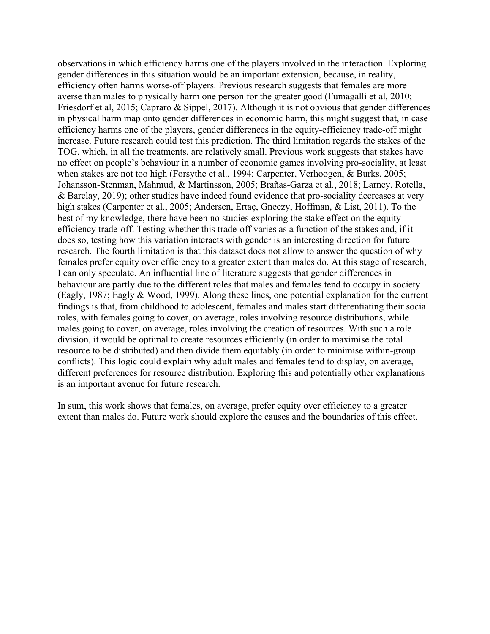observations in which efficiency harms one of the players involved in the interaction. Exploring gender differences in this situation would be an important extension, because, in reality, efficiency often harms worse-off players. Previous research suggests that females are more averse than males to physically harm one person for the greater good (Fumagalli et al, 2010; Friesdorf et al, 2015; Capraro & Sippel, 2017). Although it is not obvious that gender differences in physical harm map onto gender differences in economic harm, this might suggest that, in case efficiency harms one of the players, gender differences in the equity-efficiency trade-off might increase. Future research could test this prediction. The third limitation regards the stakes of the TOG, which, in all the treatments, are relatively small. Previous work suggests that stakes have no effect on people's behaviour in a number of economic games involving pro-sociality, at least when stakes are not too high (Forsythe et al., 1994; Carpenter, Verhoogen, & Burks, 2005; Johansson-Stenman, Mahmud, & Martinsson, 2005; Brañas-Garza et al., 2018; Larney, Rotella, & Barclay, 2019); other studies have indeed found evidence that pro-sociality decreases at very high stakes (Carpenter et al., 2005; Andersen, Ertaç, Gneezy, Hoffman, & List, 2011). To the best of my knowledge, there have been no studies exploring the stake effect on the equityefficiency trade-off. Testing whether this trade-off varies as a function of the stakes and, if it does so, testing how this variation interacts with gender is an interesting direction for future research. The fourth limitation is that this dataset does not allow to answer the question of why females prefer equity over efficiency to a greater extent than males do. At this stage of research, I can only speculate. An influential line of literature suggests that gender differences in behaviour are partly due to the different roles that males and females tend to occupy in society (Eagly, 1987; Eagly & Wood, 1999). Along these lines, one potential explanation for the current findings is that, from childhood to adolescent, females and males start differentiating their social roles, with females going to cover, on average, roles involving resource distributions, while males going to cover, on average, roles involving the creation of resources. With such a role division, it would be optimal to create resources efficiently (in order to maximise the total resource to be distributed) and then divide them equitably (in order to minimise within-group conflicts). This logic could explain why adult males and females tend to display, on average, different preferences for resource distribution. Exploring this and potentially other explanations is an important avenue for future research.

In sum, this work shows that females, on average, prefer equity over efficiency to a greater extent than males do. Future work should explore the causes and the boundaries of this effect.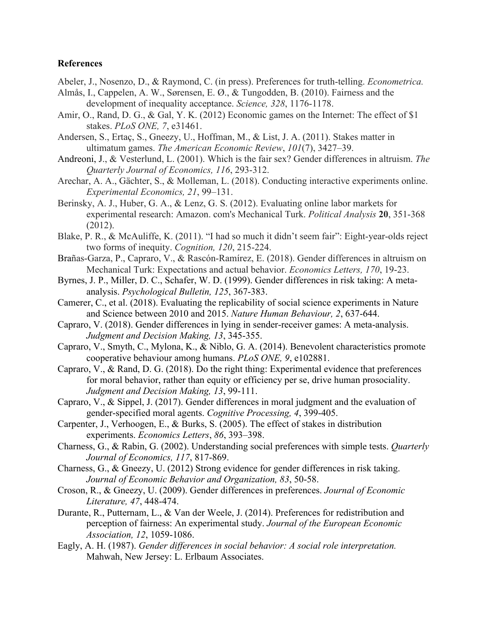#### **References**

- Abeler, J., Nosenzo, D., & Raymond, C. (in press). Preferences for truth-telling. *Econometrica.*
- Almås, I., Cappelen, A. W., Sørensen, E. Ø., & Tungodden, B. (2010). Fairness and the development of inequality acceptance. *Science, 328*, 1176-1178.
- Amir, O., Rand, D. G., & Gal, Y. K. (2012) Economic games on the Internet: The effect of \$1 stakes. *PLoS ONE, 7*, e31461.
- Andersen, S., Ertaç, S., Gneezy, U., Hoffman, M., & List, J. A. (2011). Stakes matter in ultimatum games. *The American Economic Review*, *101*(7), 3427–39.
- Andreoni, J., & Vesterlund, L. (2001). Which is the fair sex? Gender differences in altruism. *The Quarterly Journal of Economics, 116*, 293-312.
- Arechar, A. A., Gächter, S., & Molleman, L. (2018). Conducting interactive experiments online. *Experimental Economics, 21*, 99–131.
- Berinsky, A. J., Huber, G. A., & Lenz, G. S. (2012). Evaluating online labor markets for experimental research: Amazon. com's Mechanical Turk. *Political Analysis* **20**, 351-368 (2012).
- Blake, P. R., & McAuliffe, K. (2011). "I had so much it didn't seem fair": Eight-year-olds reject two forms of inequity. *Cognition, 120*, 215-224.
- Brañas-Garza, P., Capraro, V., & Rascón-Ramírez, E. (2018). Gender differences in altruism on Mechanical Turk: Expectations and actual behavior. *Economics Letters, 170*, 19-23.
- Byrnes, J. P., Miller, D. C., Schafer, W. D. (1999). Gender differences in risk taking: A metaanalysis. *Psychological Bulletin, 125*, 367-383.
- Camerer, C., et al. (2018). Evaluating the replicability of social science experiments in Nature and Science between 2010 and 2015. *Nature Human Behaviour, 2*, 637-644.
- Capraro, V. (2018). Gender differences in lying in sender-receiver games: A meta-analysis. *Judgment and Decision Making, 13*, 345-355.
- Capraro, V., Smyth, C., Mylona, K., & Niblo, G. A. (2014). Benevolent characteristics promote cooperative behaviour among humans. *PLoS ONE, 9*, e102881.
- Capraro, V., & Rand, D. G. (2018). Do the right thing: Experimental evidence that preferences for moral behavior, rather than equity or efficiency per se, drive human prosociality. *Judgment and Decision Making, 13*, 99-111.
- Capraro, V., & Sippel, J. (2017). Gender differences in moral judgment and the evaluation of gender-specified moral agents. *Cognitive Processing, 4*, 399-405.
- Carpenter, J., Verhoogen, E., & Burks, S. (2005). The effect of stakes in distribution experiments. *Economics Letters*, *86*, 393–398.
- Charness, G., & Rabin, G. (2002). Understanding social preferences with simple tests. *Quarterly Journal of Economics, 117*, 817-869.
- Charness, G., & Gneezy, U. (2012) Strong evidence for gender differences in risk taking. *Journal of Economic Behavior and Organization, 83*, 50-58.
- Croson, R., & Gneezy, U. (2009). Gender differences in preferences. *Journal of Economic Literature, 47*, 448-474.
- Durante, R., Putternam, L., & Van der Weele, J. (2014). Preferences for redistribution and perception of fairness: An experimental study. *Journal of the European Economic Association, 12*, 1059-1086.
- Eagly, A. H. (1987). *Gender differences in social behavior: A social role interpretation.*  Mahwah, New Jersey: L. Erlbaum Associates.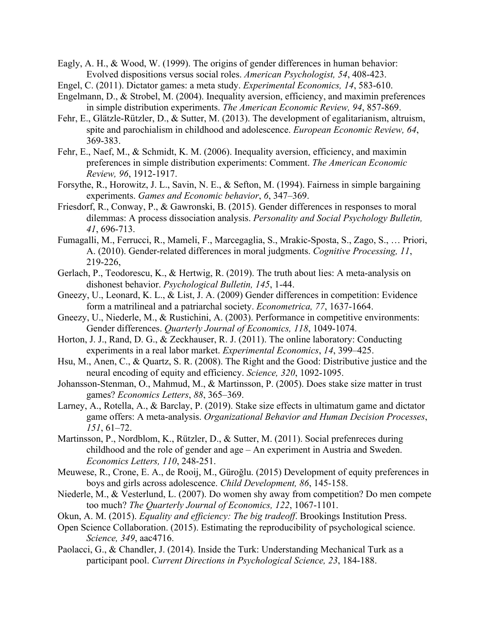- Eagly, A. H., & Wood, W. (1999). The origins of gender differences in human behavior: Evolved dispositions versus social roles. *American Psychologist, 54*, 408-423.
- Engel, C. (2011). Dictator games: a meta study. *Experimental Economics, 14*, 583-610.
- Engelmann, D., & Strobel, M. (2004). Inequality aversion, efficiency, and maximin preferences in simple distribution experiments. *The American Economic Review, 94*, 857-869.
- Fehr, E., Glätzle-Rützler, D., & Sutter, M. (2013). The development of egalitarianism, altruism, spite and parochialism in childhood and adolescence. *European Economic Review, 64*, 369-383.
- Fehr, E., Naef, M., & Schmidt, K. M. (2006). Inequality aversion, efficiency, and maximin preferences in simple distribution experiments: Comment. *The American Economic Review, 96*, 1912-1917.
- Forsythe, R., Horowitz, J. L., Savin, N. E., & Sefton, M. (1994). Fairness in simple bargaining experiments. *Games and Economic behavior*, *6*, 347–369.
- Friesdorf, R., Conway, P., & Gawronski, B. (2015). Gender differences in responses to moral dilemmas: A process dissociation analysis. *Personality and Social Psychology Bulletin, 41*, 696-713.
- Fumagalli, M., Ferrucci, R., Mameli, F., Marcegaglia, S., Mrakic-Sposta, S., Zago, S., … Priori, A. (2010). Gender-related differences in moral judgments. *Cognitive Processing, 11*, 219-226,
- Gerlach, P., Teodorescu, K., & Hertwig, R. (2019). The truth about lies: A meta-analysis on dishonest behavior. *Psychological Bulletin, 145*, 1-44.
- Gneezy, U., Leonard, K. L., & List, J. A. (2009) Gender differences in competition: Evidence form a matrilineal and a patriarchal society. *Econometrica, 77*, 1637-1664.
- Gneezy, U., Niederle, M., & Rustichini, A. (2003). Performance in competitive environments: Gender differences. *Quarterly Journal of Economics, 118*, 1049-1074.
- Horton, J. J., Rand, D. G., & Zeckhauser, R. J. (2011). The online laboratory: Conducting experiments in a real labor market. *Experimental Economics*, *14*, 399–425.
- Hsu, M., Anen, C., & Quartz, S. R. (2008). The Right and the Good: Distributive justice and the neural encoding of equity and efficiency. *Science, 320*, 1092-1095.
- Johansson-Stenman, O., Mahmud, M., & Martinsson, P. (2005). Does stake size matter in trust games? *Economics Letters*, *88*, 365–369.
- Larney, A., Rotella, A., & Barclay, P. (2019). Stake size effects in ultimatum game and dictator game offers: A meta-analysis. *Organizational Behavior and Human Decision Processes*, *151*, 61–72.
- Martinsson, P., Nordblom, K., Rützler, D., & Sutter, M. (2011). Social prefenreces during childhood and the role of gender and age – An experiment in Austria and Sweden. *Economics Letters, 110*, 248-251.
- Meuwese, R., Crone, E. A., de Rooij, M., Güroğlu. (2015) Development of equity preferences in boys and girls across adolescence. *Child Development, 86*, 145-158.
- Niederle, M., & Vesterlund, L. (2007). Do women shy away from competition? Do men compete too much? *The Quarterly Journal of Economics, 122*, 1067-1101.
- Okun, A. M. (2015). *Equality and efficiency: The big tradeoff*. Brookings Institution Press.
- Open Science Collaboration. (2015). Estimating the reproducibility of psychological science. *Science, 349*, aac4716.
- Paolacci, G., & Chandler, J. (2014). Inside the Turk: Understanding Mechanical Turk as a participant pool. *Current Directions in Psychological Science, 23*, 184-188.